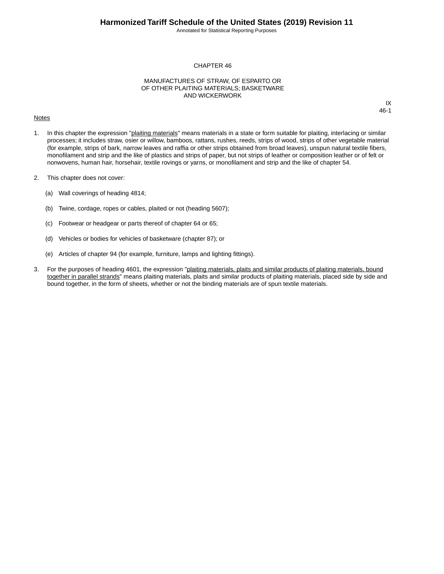Annotated for Statistical Reporting Purposes

IX 46-1

#### CHAPTER 46

#### MANUFACTURES OF STRAW, OF ESPARTO OR OF OTHER PLAITING MATERIALS; BASKETWARE AND WICKERWORK

#### **Notes**

1. In this chapter the expression "plaiting materials" means materials in a state or form suitable for plaiting, interlacing or similar processes; it includes straw, osier or willow, bamboos, rattans, rushes, reeds, strips of wood, strips of other vegetable material (for example, strips of bark, narrow leaves and raffia or other strips obtained from broad leaves), unspun natural textile fibers, monofilament and strip and the like of plastics and strips of paper, but not strips of leather or composition leather or of felt or nonwovens, human hair, horsehair, textile rovings or yarns, or monofilament and strip and the like of chapter 54.

- 2. This chapter does not cover:
	- (a) Wall coverings of heading 4814;
	- (b) Twine, cordage, ropes or cables, plaited or not (heading 5607);
	- (c) Footwear or headgear or parts thereof of chapter 64 or 65;
	- (d) Vehicles or bodies for vehicles of basketware (chapter 87); or
	- (e) Articles of chapter 94 (for example, furniture, lamps and lighting fittings).
- 3. For the purposes of heading 4601, the expression "plaiting materials, plaits and similar products of plaiting materials, bound together in parallel strands" means plaiting materials, plaits and similar products of plaiting materials, placed side by side and bound together, in the form of sheets, whether or not the binding materials are of spun textile materials.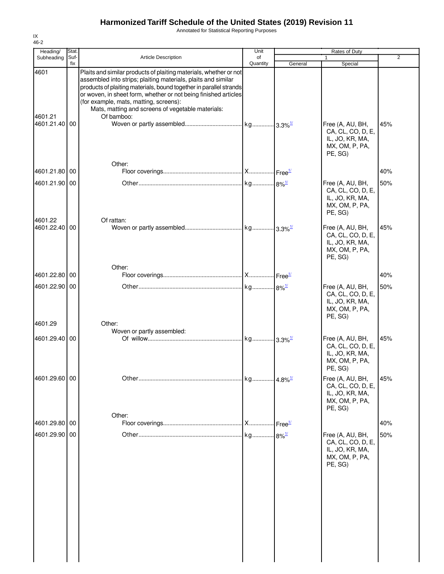Annotated for Statistical Reporting Purposes

| Heading/                 | Stat.       |                                                                                                                                                                                                                                                                                                                                                                                          | Unit                  |                    | Rates of Duty                                                                         |                |
|--------------------------|-------------|------------------------------------------------------------------------------------------------------------------------------------------------------------------------------------------------------------------------------------------------------------------------------------------------------------------------------------------------------------------------------------------|-----------------------|--------------------|---------------------------------------------------------------------------------------|----------------|
| Subheading               | Suf-<br>fix | <b>Article Description</b>                                                                                                                                                                                                                                                                                                                                                               | of<br>Quantity        | General            | Special                                                                               | $\overline{2}$ |
| 4601<br>4601.21          |             | Plaits and similar products of plaiting materials, whether or not<br>assembled into strips; plaiting materials, plaits and similar<br>products of plaiting materials, bound together in parallel strands<br>or woven, in sheet form, whether or not being finished articles<br>(for example, mats, matting, screens):<br>Mats, matting and screens of vegetable materials:<br>Of bamboo: |                       |                    |                                                                                       |                |
| 4601.21.40               | 00          | Other:                                                                                                                                                                                                                                                                                                                                                                                   |                       |                    | Free (A, AU, BH,<br>CA, CL, CO, D, E,<br>IL, JO, KR, MA,<br>MX, OM, P, PA,<br>PE, SG) | 45%            |
| 4601.21.80 00            |             |                                                                                                                                                                                                                                                                                                                                                                                          |                       |                    |                                                                                       | 40%            |
| 4601.21.90 00            |             |                                                                                                                                                                                                                                                                                                                                                                                          |                       |                    | Free (A, AU, BH,<br>CA, CL, CO, D, E,<br>IL, JO, KR, MA,<br>MX, OM, P, PA,<br>PE, SG) | 50%            |
| 4601.22<br>4601.22.40 00 |             | Of rattan:                                                                                                                                                                                                                                                                                                                                                                               |                       |                    | Free (A, AU, BH,<br>CA, CL, CO, D, E,<br>IL, JO, KR, MA,<br>MX, OM, P, PA,<br>PE, SG) | 45%            |
| 4601.22.80               | 00          | Other:                                                                                                                                                                                                                                                                                                                                                                                   |                       |                    |                                                                                       | 40%            |
| 4601.22.90               | 00          |                                                                                                                                                                                                                                                                                                                                                                                          |                       |                    |                                                                                       | 50%            |
| 4601.29                  |             | Other:                                                                                                                                                                                                                                                                                                                                                                                   |                       |                    | Free (A, AU, BH,<br>CA, CL, CO, D, E,<br>IL, JO, KR, MA,<br>MX, OM, P, PA,<br>PE, SG) |                |
| 4601.29.40 00            |             | Woven or partly assembled:                                                                                                                                                                                                                                                                                                                                                               |                       |                    | Free (A, AU, BH,<br>CA, CL, CO, D, E,<br>IL, JO, KR, MA,<br>MX, OM, P, PA,<br>PE, SG) | 45%            |
| 4601.29.60 00            |             | Other:                                                                                                                                                                                                                                                                                                                                                                                   | kg 4.8% <sup>1/</sup> |                    | Free (A, AU, BH,<br>CA, CL, CO, D, E,<br>IL, JO, KR, MA,<br>MX, OM, P, PA,<br>PE, SG) | 45%            |
| 4601.29.80 00            |             |                                                                                                                                                                                                                                                                                                                                                                                          | . X                   | Free <sup>1/</sup> |                                                                                       | 40%            |
| 4601.29.90               | 00          |                                                                                                                                                                                                                                                                                                                                                                                          | kg 8% <sup>1/</sup>   |                    | Free (A, AU, BH,<br>CA, CL, CO, D, E,<br>IL, JO, KR, MA,<br>MX, OM, P, PA,<br>PE, SG) | 50%            |
|                          |             |                                                                                                                                                                                                                                                                                                                                                                                          |                       |                    |                                                                                       |                |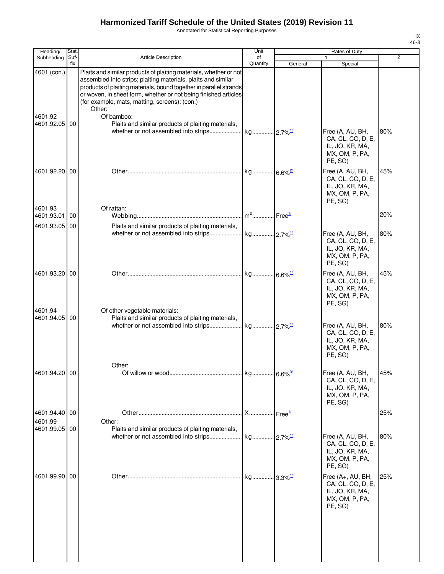Annotated for Statistical Reporting Purposes

| ٠<br>۰,<br>× |
|--------------|

| Heading/                 | Stat.       |                                                                                                                                                                                                                                                                                                                                        | Unit           |                       | Rates of Duty                                                                          |                |
|--------------------------|-------------|----------------------------------------------------------------------------------------------------------------------------------------------------------------------------------------------------------------------------------------------------------------------------------------------------------------------------------------|----------------|-----------------------|----------------------------------------------------------------------------------------|----------------|
| Subheading               | Suf-<br>fix | <b>Article Description</b>                                                                                                                                                                                                                                                                                                             | of<br>Quantity | General               | Special                                                                                | $\overline{2}$ |
| 4601 (con.)              |             | Plaits and similar products of plaiting materials, whether or not<br>assembled into strips; plaiting materials, plaits and similar<br>products of plaiting materials, bound together in parallel strands<br>or woven, in sheet form, whether or not being finished articles<br>(for example, mats, matting, screens): (con.)<br>Other: |                |                       |                                                                                        |                |
| 4601.92<br>4601.92.05 00 |             | Of bamboo:<br>Plaits and similar products of plaiting materials,                                                                                                                                                                                                                                                                       |                |                       | Free (A, AU, BH,<br>CA, CL, CO, D, E,<br>IL, JO, KR, MA,<br>MX, OM, P, PA,<br>PE, SG)  | 80%            |
| 4601.92.20 00            |             |                                                                                                                                                                                                                                                                                                                                        |                |                       | Free (A, AU, BH,<br>CA, CL, CO, D, E,<br>IL, JO, KR, MA,<br>MX, OM, P, PA,<br>PE, SG)  | 45%            |
| 4601.93<br>4601.93.01    | 00          | Of rattan:                                                                                                                                                                                                                                                                                                                             |                |                       |                                                                                        | 20%            |
| 4601.93.05 00            |             | Plaits and similar products of plaiting materials,                                                                                                                                                                                                                                                                                     |                |                       | Free (A, AU, BH,<br>CA, CL, CO, D, E,<br>IL, JO, KR, MA,<br>MX, OM, P, PA,<br>PE, SG)  | 80%            |
| 4601.93.20 00            |             |                                                                                                                                                                                                                                                                                                                                        |                |                       | Free (A, AU, BH,<br>CA, CL, CO, D, E,<br>IL, JO, KR, MA,<br>MX, OM, P, PA,<br>PE, SG)  | 45%            |
| 4601.94<br>4601.94.05 00 |             | Of other vegetable materials:<br>Plaits and similar products of plaiting materials,                                                                                                                                                                                                                                                    |                |                       | Free (A, AU, BH,<br>CA, CL, CO, D, E,<br>IL, JO, KR, MA,<br>MX, OM, P, PA,<br>PE, SG)  | 80%            |
| 4601.94.20 00            |             | Other:                                                                                                                                                                                                                                                                                                                                 |                |                       | Free (A, AU, BH,<br>CA, CL, CO, D, E,<br>IL, JO, KR, MA,<br>MX, OM, P, PA,<br>PE, SG)  | 45%            |
| 4601.94.40 00            |             |                                                                                                                                                                                                                                                                                                                                        | <b>X</b>       | Free <sup>1/</sup>    |                                                                                        | 25%            |
| 4601.99<br>4601.99.05 00 |             | Other:<br>Plaits and similar products of plaiting materials,                                                                                                                                                                                                                                                                           |                |                       | Free (A, AU, BH,<br>CA, CL, CO, D, E,<br>IL, JO, KR, MA,<br>MX, OM, P, PA,<br>PE, SG)  | 80%            |
| 4601.99.90 00            |             |                                                                                                                                                                                                                                                                                                                                        | kg             | $3.3\%$ <sup>1/</sup> | Free (A+, AU, BH,<br>CA, CL, CO, D, E,<br>IL, JO, KR, MA,<br>MX, OM, P, PA,<br>PE, SG) | 25%            |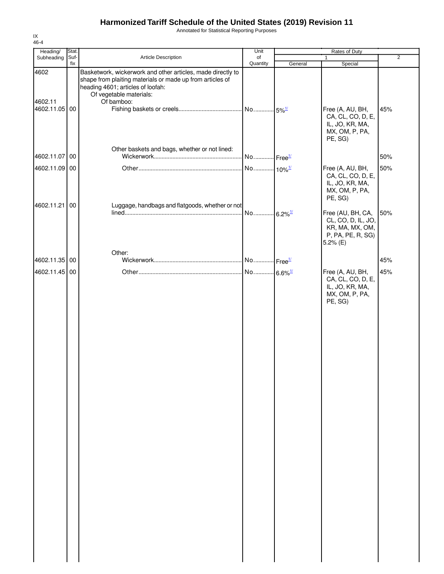Annotated for Statistical Reporting Purposes

| Heading/                         | Stat.       |                                                                                                                                                                                                        | Unit                  |         | Rates of Duty                                                                                    |                |
|----------------------------------|-------------|--------------------------------------------------------------------------------------------------------------------------------------------------------------------------------------------------------|-----------------------|---------|--------------------------------------------------------------------------------------------------|----------------|
| Subheading                       | Suf-<br>fix | Article Description                                                                                                                                                                                    | of                    |         | 1                                                                                                | $\overline{2}$ |
| 4602<br>4602.11<br>4602.11.05 00 |             | Basketwork, wickerwork and other articles, made directly to<br>shape from plaiting materials or made up from articles of<br>heading 4601; articles of loofah:<br>Of vegetable materials:<br>Of bamboo: | Quantity              | General | Special<br>Free (A, AU, BH,<br>CA, CL, CO, D, E,<br>IL, JO, KR, MA,<br>MX, OM, P, PA,<br>PE, SG) | 45%            |
| 4602.11.07                       | 00          | Other baskets and bags, whether or not lined:                                                                                                                                                          |                       |         |                                                                                                  | 50%            |
| 4602.11.09 00                    |             |                                                                                                                                                                                                        | No 10% <sup>1/</sup>  |         | Free (A, AU, BH,<br>CA, CL, CO, D, E,<br>IL, JO, KR, MA,<br>MX, OM, P, PA,<br>PE, SG)            | 50%            |
| 4602.11.21                       | 00          | Luggage, handbags and flatgoods, whether or not                                                                                                                                                        | No 6.2% <sup>1/</sup> |         | Free (AU, BH, CA,<br>CL, CO, D, IL, JO,<br>KR, MA, MX, OM,<br>P, PA, PE, R, SG)<br>5.2% (E)      | 50%            |
| 4602.11.35 00                    |             | Other:                                                                                                                                                                                                 |                       |         |                                                                                                  | 45%            |
| 4602.11.45 00                    |             |                                                                                                                                                                                                        |                       |         | Free (A, AU, BH,<br>CA, CL, CO, D, E,<br>IL, JO, KR, MA,<br>MX, OM, P, PA,<br>PE, SG)            | 45%            |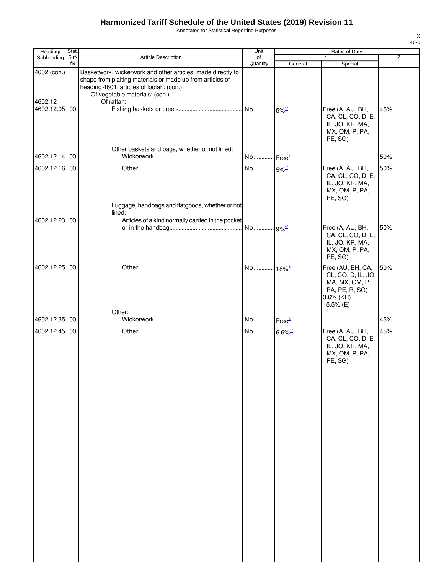Annotated for Statistical Reporting Purposes

| Heading/                                | Stat.       |                                                                                                                                                                                                                      | Unit                  |         | Rates of Duty                                                                                         |                |
|-----------------------------------------|-------------|----------------------------------------------------------------------------------------------------------------------------------------------------------------------------------------------------------------------|-----------------------|---------|-------------------------------------------------------------------------------------------------------|----------------|
| Subheading                              | Suf-<br>fix | <b>Article Description</b>                                                                                                                                                                                           | of<br>Quantity        | General | $\mathbf{1}$<br>Special                                                                               | $\overline{2}$ |
| 4602 (con.)<br>4602.12<br>4602.12.05 00 |             | Basketwork, wickerwork and other articles, made directly to<br>shape from plaiting materials or made up from articles of<br>heading 4601; articles of loofah: (con.)<br>Of vegetable materials: (con.)<br>Of rattan: |                       |         | Free (A, AU, BH,<br>CA, CL, CO, D, E,<br>IL, JO, KR, MA,<br>MX, OM, P, PA,<br>PE, SG)                 | 45%            |
| 4602.12.14 00                           |             | Other baskets and bags, whether or not lined:                                                                                                                                                                        | No Free <sup>1/</sup> |         |                                                                                                       | 50%            |
|                                         |             |                                                                                                                                                                                                                      |                       |         |                                                                                                       |                |
| 4602.12.16 00                           |             | Luggage, handbags and flatgoods, whether or not<br>lined:                                                                                                                                                            | No 5% <sup>1/</sup>   |         | Free (A, AU, BH,<br>CA, CL, CO, D, E,<br>IL, JO, KR, MA,<br>MX, OM, P, PA,<br>PE, SG)                 | 50%            |
| 4602.12.23 00                           |             | Articles of a kind normally carried in the pocket                                                                                                                                                                    |                       |         |                                                                                                       |                |
|                                         |             |                                                                                                                                                                                                                      |                       |         | Free (A, AU, BH,<br>CA, CL, CO, D, E,<br>IL, JO, KR, MA,<br>MX, OM, P, PA,<br>PE, SG)                 | 50%            |
| 4602.12.25 00                           |             |                                                                                                                                                                                                                      |                       |         | Free (AU, BH, CA,<br>CL, CO, D, IL, JO,<br>MA, MX, OM, P,<br>PA, PE, R, SG)<br>3.6% (KR)<br>15.5% (E) | 50%            |
| 4602.12.35                              | 00          | Other:                                                                                                                                                                                                               |                       |         |                                                                                                       | 45%            |
| 4602.12.45 00                           |             |                                                                                                                                                                                                                      |                       |         | Free (A, AU, BH,                                                                                      | 45%            |
|                                         |             |                                                                                                                                                                                                                      |                       |         | CA, CL, CO, D, E,<br>IL, JO, KR, MA,<br>MX, OM, P, PA,<br>PE, SG)                                     |                |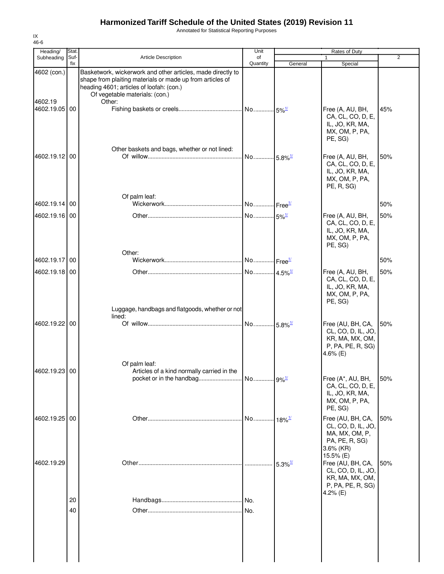Annotated for Statistical Reporting Purposes

| Heading/                                | Stat.       |                                                                                                                                                                                                                  | Unit                  |                       | Rates of Duty                                                                                                         |                |
|-----------------------------------------|-------------|------------------------------------------------------------------------------------------------------------------------------------------------------------------------------------------------------------------|-----------------------|-----------------------|-----------------------------------------------------------------------------------------------------------------------|----------------|
| Subheading                              | Suf-<br>fix | <b>Article Description</b>                                                                                                                                                                                       | of<br>Quantity        | General               | 1<br>Special                                                                                                          | $\overline{2}$ |
| 4602 (con.)<br>4602.19<br>4602.19.05 00 |             | Basketwork, wickerwork and other articles, made directly to<br>shape from plaiting materials or made up from articles of<br>heading 4601; articles of loofah: (con.)<br>Of vegetable materials: (con.)<br>Other: |                       |                       | Free (A, AU, BH,<br>CA, CL, CO, D, E,<br>IL, JO, KR, MA,                                                              | 45%            |
| 4602.19.12 00                           |             | Other baskets and bags, whether or not lined:                                                                                                                                                                    | No 5.8% <sup>1/</sup> |                       | MX, OM, P, PA,<br>PE, SG)<br>Free (A, AU, BH,<br>CA, CL, CO, D, E,<br>IL, JO, KR, MA,<br>MX, OM, P, PA,<br>PE, R, SG) | 50%            |
|                                         |             | Of palm leaf:                                                                                                                                                                                                    |                       |                       |                                                                                                                       |                |
| 4602.19.14 00                           |             |                                                                                                                                                                                                                  |                       |                       |                                                                                                                       | 50%            |
| 4602.19.16 00                           |             |                                                                                                                                                                                                                  |                       |                       | Free (A, AU, BH,<br>CA, CL, CO, D, E,<br>IL, JO, KR, MA,<br>MX, OM, P, PA,<br>PE, SG)                                 | 50%            |
| 4602.19.17                              | 00          | Other:                                                                                                                                                                                                           |                       |                       |                                                                                                                       | 50%            |
| 4602.19.18 00                           |             |                                                                                                                                                                                                                  |                       |                       | Free (A, AU, BH,                                                                                                      | 50%            |
|                                         |             | Luggage, handbags and flatgoods, whether or not                                                                                                                                                                  |                       |                       | CA, CL, CO, D, E,<br>IL, JO, KR, MA,<br>MX, OM, P, PA,<br>PE, SG)                                                     |                |
| 4602.19.22 00                           |             | lined:                                                                                                                                                                                                           |                       |                       | Free (AU, BH, CA,<br>CL, CO, D, IL, JO,<br>KR, MA, MX, OM,<br>P, PA, PE, R, SG)<br>4.6% $(E)$                         | 50%            |
| 4602.19.23 00                           |             | Of palm leaf:<br>Articles of a kind normally carried in the                                                                                                                                                      |                       |                       | Free (A*, AU, BH,<br>CA, CL, CO, D, E,<br>IL, JO, KR, MA,<br>MX, OM, P, PA,<br>PE, SG)                                | 50%            |
| 4602.19.25 00                           |             |                                                                                                                                                                                                                  |                       |                       | Free (AU, BH, CA,<br>CL, CO, D, IL, JO,<br>MA, MX, OM, P,<br>PA, PE, R, SG)<br>$3.6\%$ (KR)                           | 50%            |
| 4602.19.29                              |             |                                                                                                                                                                                                                  |                       | $5.3\%$ <sup>1/</sup> | 15.5% (E)<br>Free (AU, BH, CA,<br>CL, CO, D, IL, JO,<br>KR, MA, MX, OM,<br>P, PA, PE, R, SG)<br>4.2% $(E)$            | 50%            |
|                                         | 20          |                                                                                                                                                                                                                  | No.                   |                       |                                                                                                                       |                |
|                                         | 40          |                                                                                                                                                                                                                  | No.                   |                       |                                                                                                                       |                |
|                                         |             |                                                                                                                                                                                                                  |                       |                       |                                                                                                                       |                |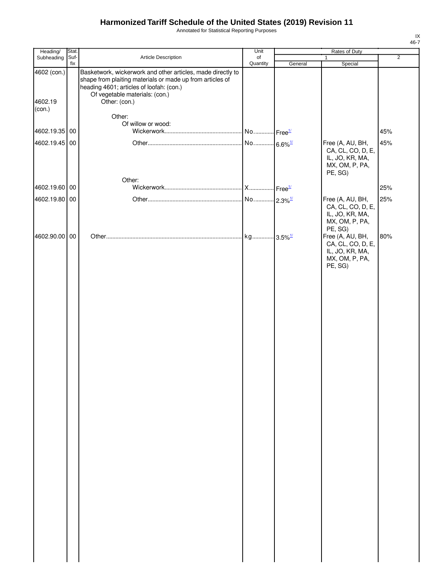Annotated for Statistical Reporting Purposes

| Heading/               | Stat.       |                                                                                                                                                                                                                         | Unit                  | Rates of Duty |                                                                                       |                |
|------------------------|-------------|-------------------------------------------------------------------------------------------------------------------------------------------------------------------------------------------------------------------------|-----------------------|---------------|---------------------------------------------------------------------------------------|----------------|
| Subheading             | Suf-<br>fix | Article Description                                                                                                                                                                                                     | of<br>Quantity        |               | $\mathbf{1}$                                                                          | $\overline{2}$ |
| 4602 (con.)<br>4602.19 |             | Basketwork, wickerwork and other articles, made directly to<br>shape from plaiting materials or made up from articles of<br>heading 4601; articles of loofah: (con.)<br>Of vegetable materials: (con.)<br>Other: (con.) |                       | General       | Special                                                                               |                |
| (con.)                 |             | Other:                                                                                                                                                                                                                  |                       |               |                                                                                       |                |
| 4602.19.35 00          |             | Of willow or wood:                                                                                                                                                                                                      |                       |               |                                                                                       | 45%            |
| 4602.19.45 00          |             | Other:                                                                                                                                                                                                                  |                       |               | Free (A, AU, BH,<br>CA, CL, CO, D, E,<br>IL, JO, KR, MA,<br>MX, OM, P, PA,<br>PE, SG) | 45%            |
| 4602.19.60 00          |             |                                                                                                                                                                                                                         |                       |               |                                                                                       | 25%            |
|                        |             |                                                                                                                                                                                                                         |                       |               |                                                                                       |                |
| 4602.19.80 00          |             |                                                                                                                                                                                                                         |                       |               | Free (A, AU, BH,<br>CA, CL, CO, D, E,<br>IL, JO, KR, MA,<br>MX, OM, P, PA,<br>PE, SG) | 25%            |
| 4602.90.00 00          |             |                                                                                                                                                                                                                         | kg 3.5% <sup>1/</sup> |               | Free (A, AU, BH,<br>CA, CL, CO, D, E,<br>IL, JO, KR, MA,<br>MX, OM, P, PA,<br>PE, SG) | 80%            |
|                        |             |                                                                                                                                                                                                                         |                       |               |                                                                                       |                |